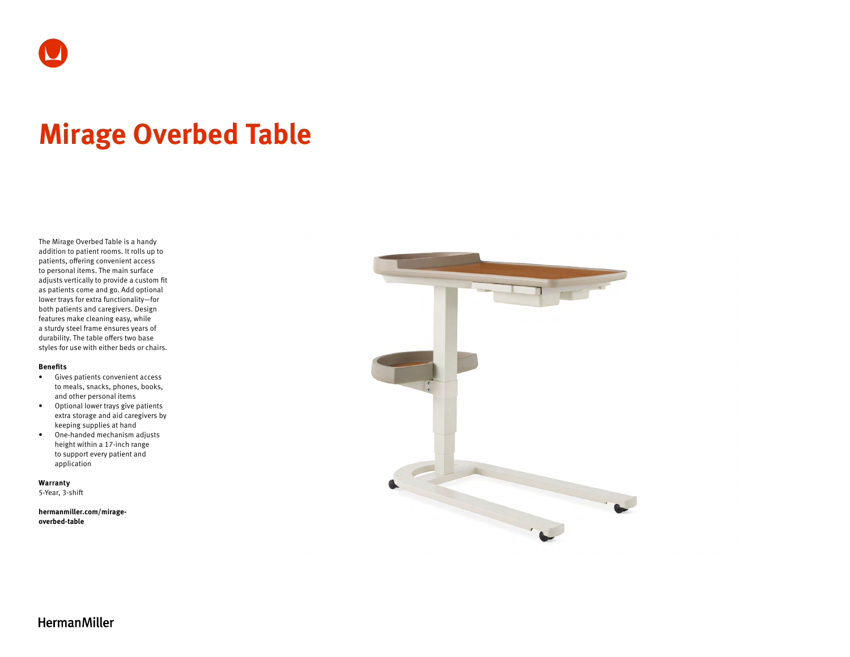

# **Mirage Overbed Table**

The Mirage Overbed Table is a handy addition to patient rooms. It rolls up to patients, offering convenient access to personal items. The main surface adjusts vertically to provide a custom fit as patients come and go. Add optional lower trays for extra functionality—for both patients and caregivers. Design features make cleaning easy, while a sturdy steel frame ensures years of durability. The table offers two base styles for use with either beds or chairs.

#### **Benefits**

- Gives patients convenient access to meals, snacks, phones, books, and other personal items
- Optional lower trays give patients extra storage and aid caregivers by keeping supplies at hand
- One-handed mechanism adjusts height within a 17-inch range to support every patient and application

**Warranty**  5-Year, 3-shift

**[hermanmiller.com/mirage-](http://hermanmiller.com/mirage-overbed-table)**

**[overbed-table](http://hermanmiller.com/mirage-overbed-table)**



**HermanMiller**